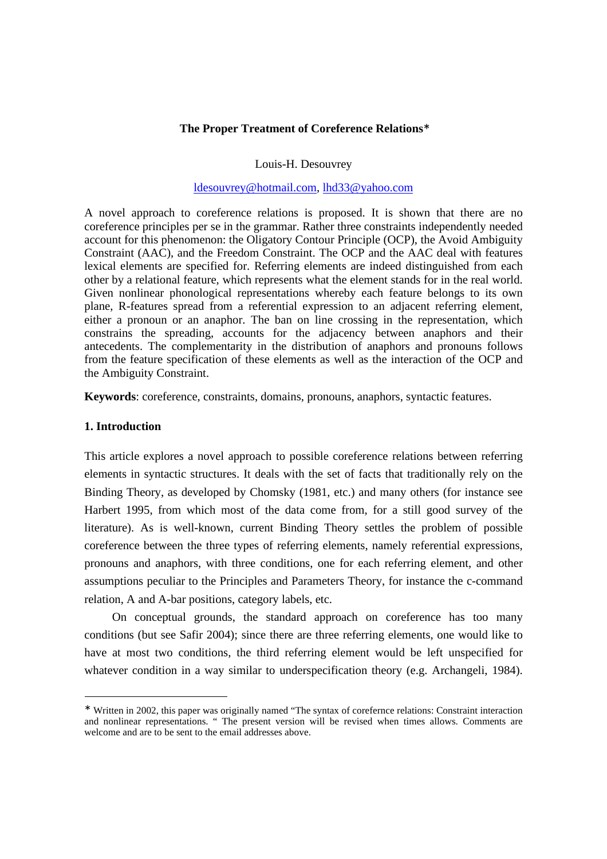# **The Proper Treatment of Coreference Relations** ∗

Louis-H. Desouvrey

## ldesouvrey@hotmail.com, lhd33@yahoo.com

A novel approach to coreference relations is proposed. It is shown that there are no coreference principles per se in the grammar. Rather three constraints independently needed account for this phenomenon: the Oligatory Contour Principle (OCP), the Avoid Ambiguity Constraint (AAC), and the Freedom Constraint. The OCP and the AAC deal with features lexical elements are specified for. Referring elements are indeed distinguished from each other by a relational feature, which represents what the element stands for in the real world. Given nonlinear phonological representations whereby each feature belongs to its own plane, R-features spread from a referential expression to an adjacent referring element, either a pronoun or an anaphor. The ban on line crossing in the representation, which constrains the spreading, accounts for the adjacency between anaphors and their antecedents. The complementarity in the distribution of anaphors and pronouns follows from the feature specification of these elements as well as the interaction of the OCP and the Ambiguity Constraint.

**Keywords**: coreference, constraints, domains, pronouns, anaphors, syntactic features.

#### **1. Introduction**

 $\overline{a}$ 

This article explores a novel approach to possible coreference relations between referring elements in syntactic structures. It deals with the set of facts that traditionally rely on the Binding Theory, as developed by Chomsky (1981, etc.) and many others (for instance see Harbert 1995, from which most of the data come from, for a still good survey of the literature). As is well-known, current Binding Theory settles the problem of possible coreference between the three types of referring elements, namely referential expressions, pronouns and anaphors, with three conditions, one for each referring element, and other assumptions peculiar to the Principles and Parameters Theory, for instance the c-command relation, A and A-bar positions, category labels, etc.

On conceptual grounds, the standard approach on coreference has too many conditions (but see Safir 2004); since there are three referring elements, one would like to have at most two conditions, the third referring element would be left unspecified for whatever condition in a way similar to underspecification theory (e.g. Archangeli, 1984).

<sup>∗</sup> Written in 2002, this paper was originally named "The syntax of corefernce relations: Constraint interaction and nonlinear representations. " The present version will be revised when times allows. Comments are welcome and are to be sent to the email addresses above.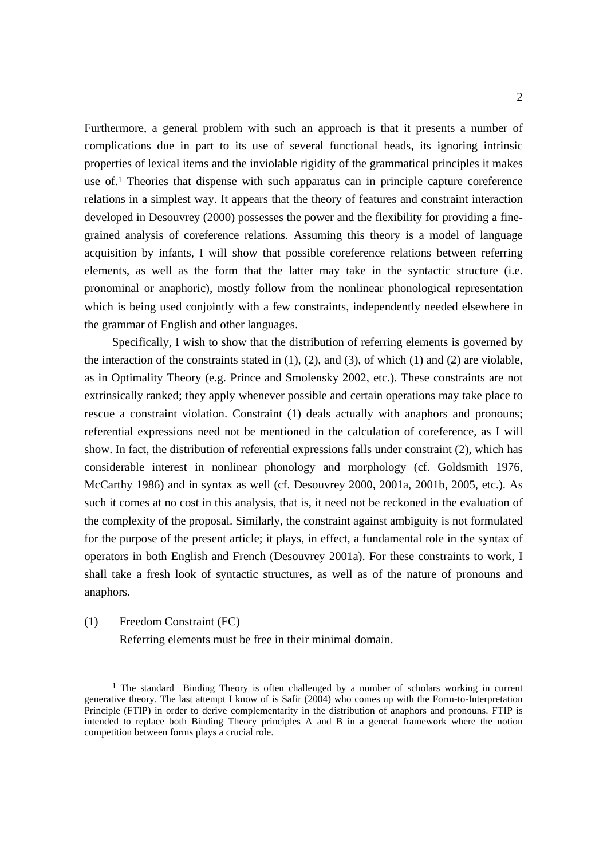Furthermore, a general problem with such an approach is that it presents a number of complications due in part to its use of several functional heads, its ignoring intrinsic properties of lexical items and the inviolable rigidity of the grammatical principles it makes use of. <sup>1</sup> Theories that dispense with such apparatus can in principle capture coreference relations in a simplest way. It appears that the theory of features and constraint interaction developed in Desouvrey (2000) possesses the power and the flexibility for providing a finegrained analysis of coreference relations. Assuming this theory is a model of language acquisition by infants, I will show that possible coreference relations between referring elements, as well as the form that the latter may take in the syntactic structure (i.e. pronominal or anaphoric), mostly follow from the nonlinear phonological representation which is being used conjointly with a few constraints, independently needed elsewhere in the grammar of English and other languages.

Specifically, I wish to show that the distribution of referring elements is governed by the interaction of the constraints stated in (1), (2), and (3), of which (1) and (2) are violable, as in Optimality Theory (e.g. Prince and Smolensky 2002, etc.). These constraints are not extrinsically ranked; they apply whenever possible and certain operations may take place to rescue a constraint violation. Constraint (1) deals actually with anaphors and pronouns; referential expressions need not be mentioned in the calculation of coreference, as I will show. In fact, the distribution of referential expressions falls under constraint (2), which has considerable interest in nonlinear phonology and morphology (cf. Goldsmith 1976, McCarthy 1986) and in syntax as well (cf. Desouvrey 2000, 2001a, 2001b, 2005, etc.). As such it comes at no cost in this analysis, that is, it need not be reckoned in the evaluation of the complexity of the proposal. Similarly, the constraint against ambiguity is not formulated for the purpose of the present article; it plays, in effect, a fundamental role in the syntax of operators in both English and French (Desouvrey 2001a). For these constraints to work, I shall take a fresh look of syntactic structures, as well as of the nature of pronouns and anaphors.

(1) Freedom Constraint (FC)

 $\overline{a}$ 

Referring elements must be free in their minimal domain.

<sup>&</sup>lt;sup>1</sup> The standard Binding Theory is often challenged by a number of scholars working in current generative theory. The last attempt I know of is Safir (2004) who comes up with the Form-to-Interpretation Principle (FTIP) in order to derive complementarity in the distribution of anaphors and pronouns. FTIP is intended to replace both Binding Theory principles A and B in a general framework where the notion competition between forms plays a crucial role.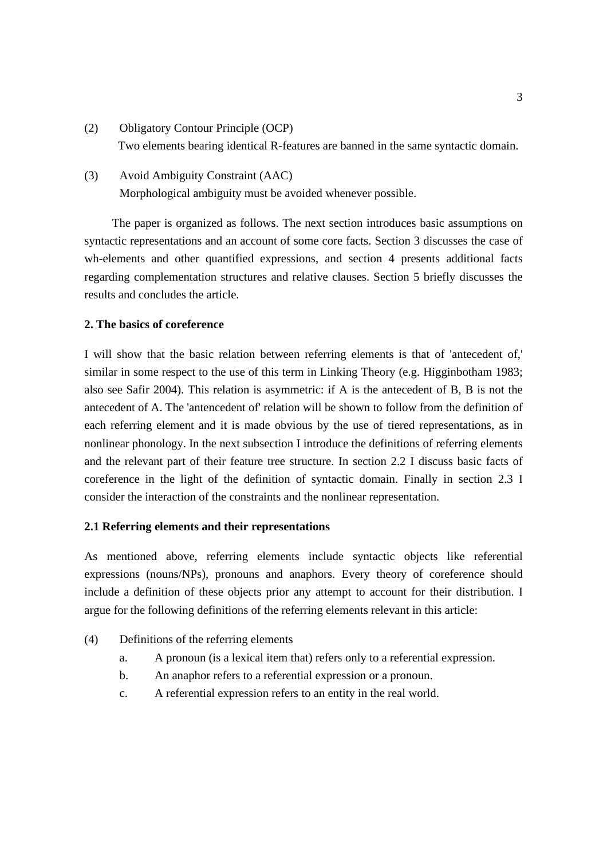- (2) Obligatory Contour Principle (OCP) Two elements bearing identical R-features are banned in the same syntactic domain.
- (3) Avoid Ambiguity Constraint (AAC) Morphological ambiguity must be avoided whenever possible.

The paper is organized as follows. The next section introduces basic assumptions on syntactic representations and an account of some core facts. Section 3 discusses the case of wh-elements and other quantified expressions, and section 4 presents additional facts regarding complementation structures and relative clauses. Section 5 briefly discusses the results and concludes the article.

# **2. The basics of coreference**

I will show that the basic relation between referring elements is that of 'antecedent of,' similar in some respect to the use of this term in Linking Theory (e.g. Higginbotham 1983; also see Safir 2004). This relation is asymmetric: if A is the antecedent of B, B is not the antecedent of A. The 'antencedent of' relation will be shown to follow from the definition of each referring element and it is made obvious by the use of tiered representations, as in nonlinear phonology. In the next subsection I introduce the definitions of referring elements and the relevant part of their feature tree structure. In section 2.2 I discuss basic facts of coreference in the light of the definition of syntactic domain. Finally in section 2.3 I consider the interaction of the constraints and the nonlinear representation.

## **2.1 Referring elements and their representations**

As mentioned above, referring elements include syntactic objects like referential expressions (nouns/NPs), pronouns and anaphors. Every theory of coreference should include a definition of these objects prior any attempt to account for their distribution. I argue for the following definitions of the referring elements relevant in this article:

- (4) Definitions of the referring elements
	- a. A pronoun (is a lexical item that) refers only to a referential expression.
	- b. An anaphor refers to a referential expression or a pronoun.
	- c. A referential expression refers to an entity in the real world.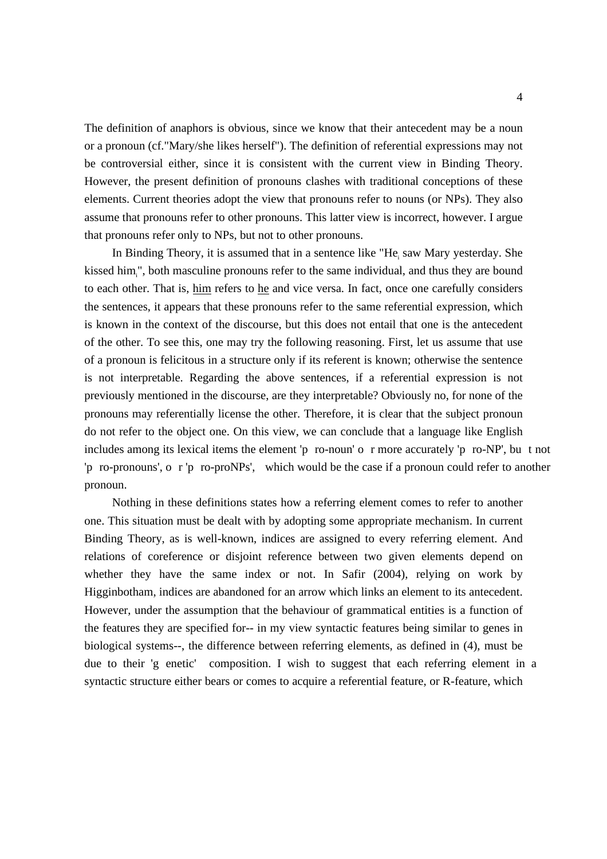The definition of anaphors is obvious, since we know that their antecedent may be a noun or a pronoun (cf."Mary/she likes herself"). The definition of referential expressions may not be controversial either, since it is consistent with the current view in Binding Theory. However, the present definition of pronouns clashes with traditional conceptions of these elements. Current theories adopt the view that pronouns refer to nouns (or NPs). They also assume that pronouns refer to other pronouns. This latter view is incorrect, however. I argue that pronouns refer only to NPs, but not to other pronouns.

In Binding Theory, it is assumed that in a sentence like "He<sub>i</sub> saw Mary yesterday. She kissed him<sub>i</sub>", both masculine pronouns refer to the same individual, and thus they are bound to each other. That is, him refers to he and vice versa. In fact, once one carefully considers the sentences, it appears that these pronouns refer to the same referential expression, which is known in the context of the discourse, but this does not entail that one is the antecedent of the other. To see this, one may try the following reasoning. First, let us assume that use of a pronoun is felicitous in a structure only if its referent is known; otherwise the sentence is not interpretable. Regarding the above sentences, if a referential expression is not previously mentioned in the discourse, are they interpretable? Obviously no, for none of the pronouns may referentially license the other. Therefore, it is clear that the subject pronoun do not refer to the object one. On this view, we can conclude that a language like English includes among its lexical items the element 'p ro-noun' o r more accurately 'p ro-NP', bu t not 'p ro-pronouns', o r 'p ro-proNPs', which would be the case if a pronoun could refer to another pronoun.

Nothing in these definitions states how a referring element comes to refer to another one. This situation must be dealt with by adopting some appropriate mechanism. In current Binding Theory, as is well-known, indices are assigned to every referring element. And relations of coreference or disjoint reference between two given elements depend on whether they have the same index or not. In Safir (2004), relying on work by Higginbotham, indices are abandoned for an arrow which links an element to its antecedent. However, under the assumption that the behaviour of grammatical entities is a function of the features they are specified for-- in my view syntactic features being similar to genes in biological systems--, the difference between referring elements, as defined in (4), must be due to their 'g enetic' composition. I wish to suggest that each referring element in a syntactic structure either bears or comes to acquire a referential feature, or R-feature, which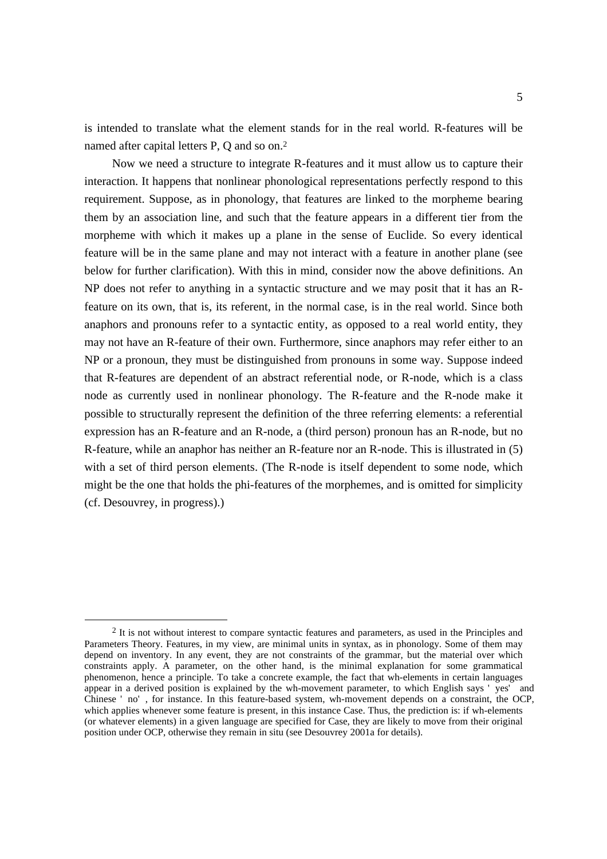is intended to translate what the element stands for in the real world. R-features will be named after capital letters P, Q and so on.<sup>2</sup>

Now we need a structure to integrate R-features and it must allow us to capture their interaction. It happens that nonlinear phonological representations perfectly respond to this requirement. Suppose, as in phonology, that features are linked to the morpheme bearing them by an association line, and such that the feature appears in a different tier from the morpheme with which it makes up a plane in the sense of Euclide. So every identical feature will be in the same plane and may not interact with a feature in another plane (see below for further clarification). With this in mind, consider now the above definitions. An NP does not refer to anything in a syntactic structure and we may posit that it has an Rfeature on its own, that is, its referent, in the normal case, is in the real world. Since both anaphors and pronouns refer to a syntactic entity, as opposed to a real world entity, they may not have an R-feature of their own. Furthermore, since anaphors may refer either to an NP or a pronoun, they must be distinguished from pronouns in some way. Suppose indeed that R-features are dependent of an abstract referential node, or R-node, which is a class node as currently used in nonlinear phonology. The R-feature and the R-node make it possible to structurally represent the definition of the three referring elements: a referential expression has an R-feature and an R-node, a (third person) pronoun has an R-node, but no R-feature, while an anaphor has neither an R-feature nor an R-node. This is illustrated in (5) with a set of third person elements. (The R-node is itself dependent to some node, which might be the one that holds the phi-features of the morphemes, and is omitted for simplicity (cf. Desouvrey, in progress).)

 $\overline{a}$ 

<sup>2</sup> It is not without interest to compare syntactic features and parameters, as used in the Principles and Parameters Theory. Features, in my view, are minimal units in syntax, as in phonology. Some of them may depend on inventory. In any event, they are not constraints of the grammar, but the material over which constraints apply. A parameter, on the other hand, is the minimal explanation for some grammatical phenomenon, hence a principle. To take a concrete example, the fact that wh-elements in certain languages appear in a derived position is explained by the wh-movement parameter, to which English says ' yes' and Chinese ' no' , for instance. In this feature-based system, wh-movement depends on a constraint, the OCP, which applies whenever some feature is present, in this instance Case. Thus, the prediction is: if wh-elements (or whatever elements) in a given language are specified for Case, they are likely to move from their original position under OCP, otherwise they remain in situ (see Desouvrey 2001a for details).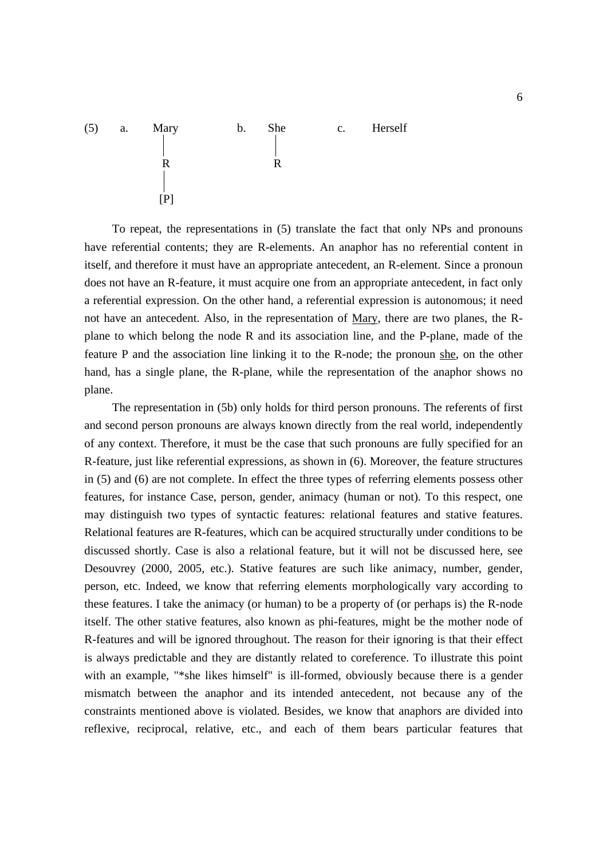

To repeat, the representations in (5) translate the fact that only NPs and pronouns have referential contents; they are R-elements. An anaphor has no referential content in itself, and therefore it must have an appropriate antecedent, an R-element. Since a pronoun does not have an R-feature, it must acquire one from an appropriate antecedent, in fact only a referential expression. On the other hand, a referential expression is autonomous; it need not have an antecedent. Also, in the representation of Mary, there are two planes, the Rplane to which belong the node R and its association line, and the P-plane, made of the feature P and the association line linking it to the R-node; the pronoun she, on the other hand, has a single plane, the R-plane, while the representation of the anaphor shows no plane.

The representation in (5b) only holds for third person pronouns. The referents of first and second person pronouns are always known directly from the real world, independently of any context. Therefore, it must be the case that such pronouns are fully specified for an R-feature, just like referential expressions, as shown in (6). Moreover, the feature structures in (5) and (6) are not complete. In effect the three types of referring elements possess other features, for instance Case, person, gender, animacy (human or not). To this respect, one may distinguish two types of syntactic features: relational features and stative features. Relational features are R-features, which can be acquired structurally under conditions to be discussed shortly. Case is also a relational feature, but it will not be discussed here, see Desouvrey (2000, 2005, etc.). Stative features are such like animacy, number, gender, person, etc. Indeed, we know that referring elements morphologically vary according to these features. I take the animacy (or human) to be a property of (or perhaps is) the R-node itself. The other stative features, also known as phi-features, might be the mother node of R-features and will be ignored throughout. The reason for their ignoring is that their effect is always predictable and they are distantly related to coreference. To illustrate this point with an example, "\*she likes himself" is ill-formed, obviously because there is a gender mismatch between the anaphor and its intended antecedent, not because any of the constraints mentioned above is violated. Besides, we know that anaphors are divided into reflexive, reciprocal, relative, etc., and each of them bears particular features that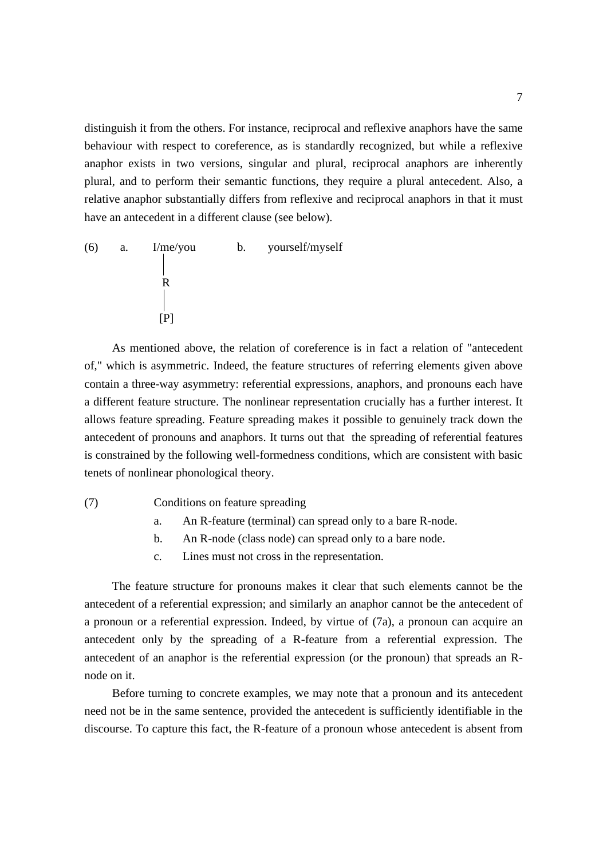distinguish it from the others. For instance, reciprocal and reflexive anaphors have the same behaviour with respect to coreference, as is standardly recognized, but while a reflexive anaphor exists in two versions, singular and plural, reciprocal anaphors are inherently plural, and to perform their semantic functions, they require a plural antecedent. Also, a relative anaphor substantially differs from reflexive and reciprocal anaphors in that it must have an antecedent in a different clause (see below).

(6) a. I/me/you b. yourself/myself R  $[$ [P] $]$ 

As mentioned above, the relation of coreference is in fact a relation of "antecedent of," which is asymmetric. Indeed, the feature structures of referring elements given above contain a three-way asymmetry: referential expressions, anaphors, and pronouns each have a different feature structure. The nonlinear representation crucially has a further interest. It allows feature spreading. Feature spreading makes it possible to genuinely track down the antecedent of pronouns and anaphors. It turns out that the spreading of referential features is constrained by the following well-formedness conditions, which are consistent with basic tenets of nonlinear phonological theory.

(7) Conditions on feature spreading

- a. An R-feature (terminal) can spread only to a bare R-node.
- b. An R-node (class node) can spread only to a bare node.
- c. Lines must not cross in the representation.

The feature structure for pronouns makes it clear that such elements cannot be the antecedent of a referential expression; and similarly an anaphor cannot be the antecedent of a pronoun or a referential expression. Indeed, by virtue of (7a), a pronoun can acquire an antecedent only by the spreading of a R-feature from a referential expression. The antecedent of an anaphor is the referential expression (or the pronoun) that spreads an Rnode on it.

Before turning to concrete examples, we may note that a pronoun and its antecedent need not be in the same sentence, provided the antecedent is sufficiently identifiable in the discourse. To capture this fact, the R-feature of a pronoun whose antecedent is absent from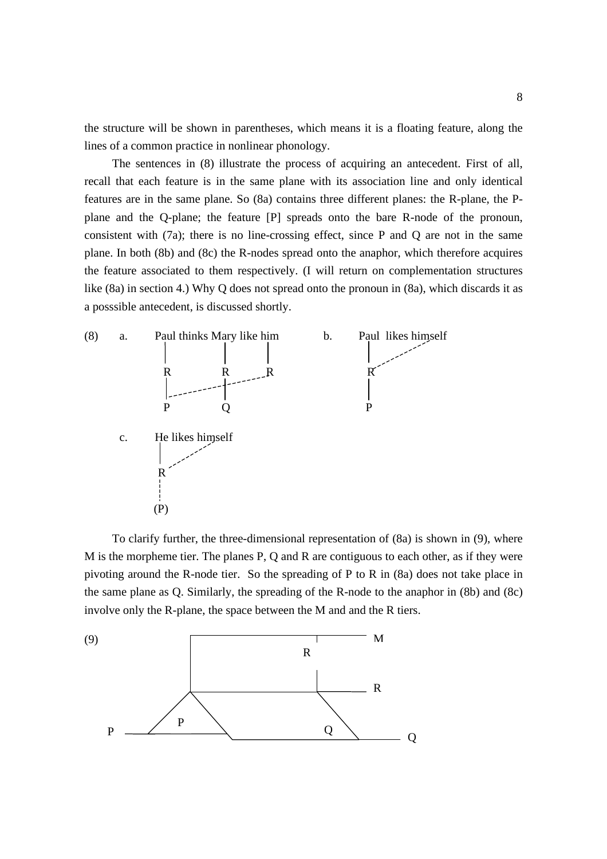the structure will be shown in parentheses, which means it is a floating feature, along the lines of a common practice in nonlinear phonology.

The sentences in (8) illustrate the process of acquiring an antecedent. First of all, recall that each feature is in the same plane with its association line and only identical features are in the same plane. So (8a) contains three different planes: the R-plane, the Pplane and the Q-plane; the feature [P] spreads onto the bare R-node of the pronoun, consistent with (7a); there is no line-crossing effect, since P and Q are not in the same plane. In both (8b) and (8c) the R-nodes spread onto the anaphor, which therefore acquires the feature associated to them respectively. (I will return on complementation structures like (8a) in section 4.) Why Q does not spread onto the pronoun in (8a), which discards it as a posssible antecedent, is discussed shortly.



To clarify further, the three-dimensional representation of (8a) is shown in (9), where M is the morpheme tier. The planes P, Q and R are contiguous to each other, as if they were pivoting around the R-node tier. So the spreading of P to R in (8a) does not take place in the same plane as Q. Similarly, the spreading of the R-node to the anaphor in (8b) and (8c) involve only the R-plane, the space between the M and and the R tiers.

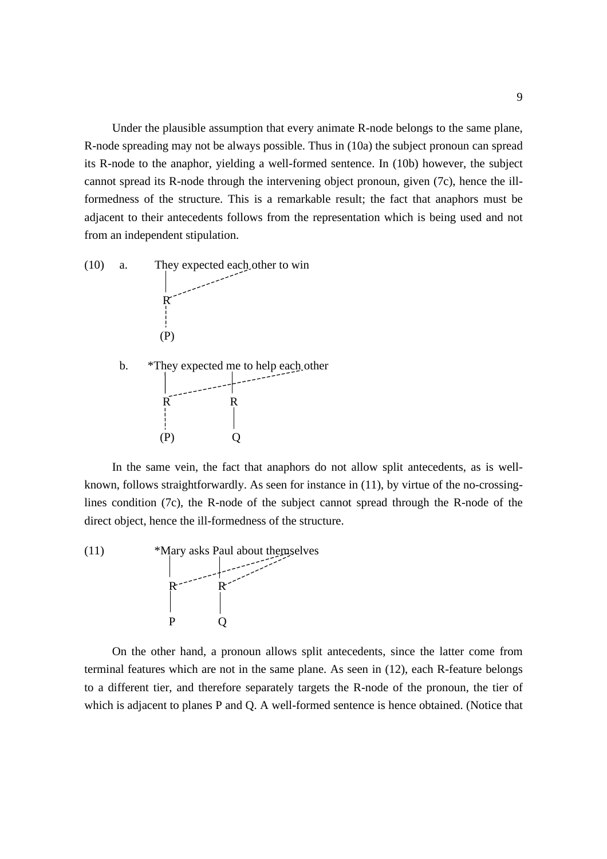Under the plausible assumption that every animate R-node belongs to the same plane, R-node spreading may not be always possible. Thus in (10a) the subject pronoun can spread its R-node to the anaphor, yielding a well-formed sentence. In (10b) however, the subject cannot spread its R-node through the intervening object pronoun, given (7c), hence the illformedness of the structure. This is a remarkable result; the fact that anaphors must be adjacent to their antecedents follows from the representation which is being used and not from an independent stipulation.



In the same vein, the fact that anaphors do not allow split antecedents, as is wellknown, follows straightforwardly. As seen for instance in (11), by virtue of the no-crossinglines condition (7c), the R-node of the subject cannot spread through the R-node of the direct object, hence the ill-formedness of the structure.



On the other hand, a pronoun allows split antecedents, since the latter come from terminal features which are not in the same plane. As seen in (12), each R-feature belongs to a different tier, and therefore separately targets the R-node of the pronoun, the tier of which is adjacent to planes P and Q. A well-formed sentence is hence obtained. (Notice that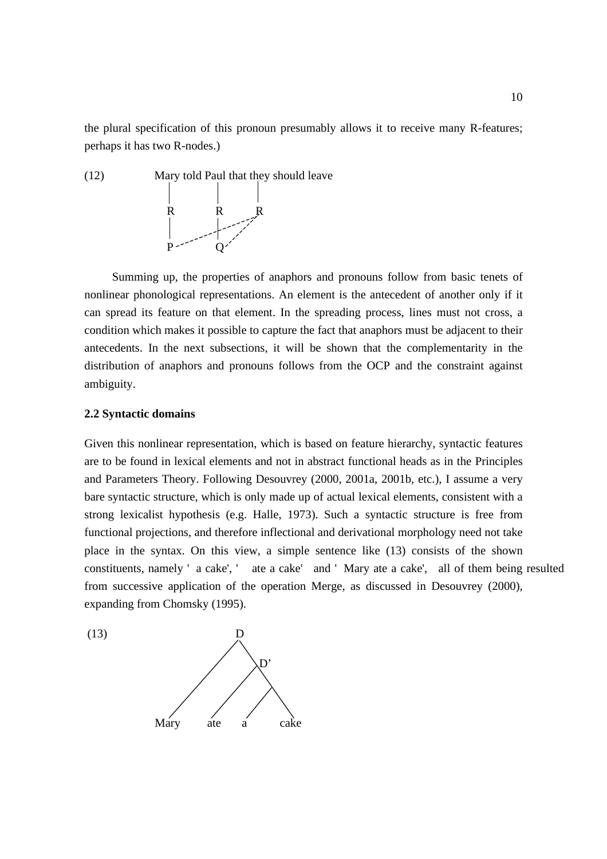the plural specification of this pronoun presumably allows it to receive many R-features; perhaps it has two R-nodes.)



Summing up, the properties of anaphors and pronouns follow from basic tenets of nonlinear phonological representations. An element is the antecedent of another only if it can spread its feature on that element. In the spreading process, lines must not cross, a condition which makes it possible to capture the fact that anaphors must be adjacent to their antecedents. In the next subsections, it will be shown that the complementarity in the distribution of anaphors and pronouns follows from the OCP and the constraint against ambiguity.

## **2.2 Syntactic domains**

Given this nonlinear representation, which is based on feature hierarchy, syntactic features are to be found in lexical elements and not in abstract functional heads as in the Principles and Parameters Theory. Following Desouvrey (2000, 2001a, 2001b, etc.), I assume a very bare syntactic structure, which is only made up of actual lexical elements, consistent with a strong lexicalist hypothesis (e.g. Halle, 1973). Such a syntactic structure is free from functional projections, and therefore inflectional and derivational morphology need not take place in the syntax. On this view, a simple sentence like (13) consists of the shown constituents, namely ' a cake', ' ate a cake' and ' Mary ate a cake', all of them being resulted from successive application of the operation Merge, as discussed in Desouvrey (2000), expanding from Chomsky (1995).

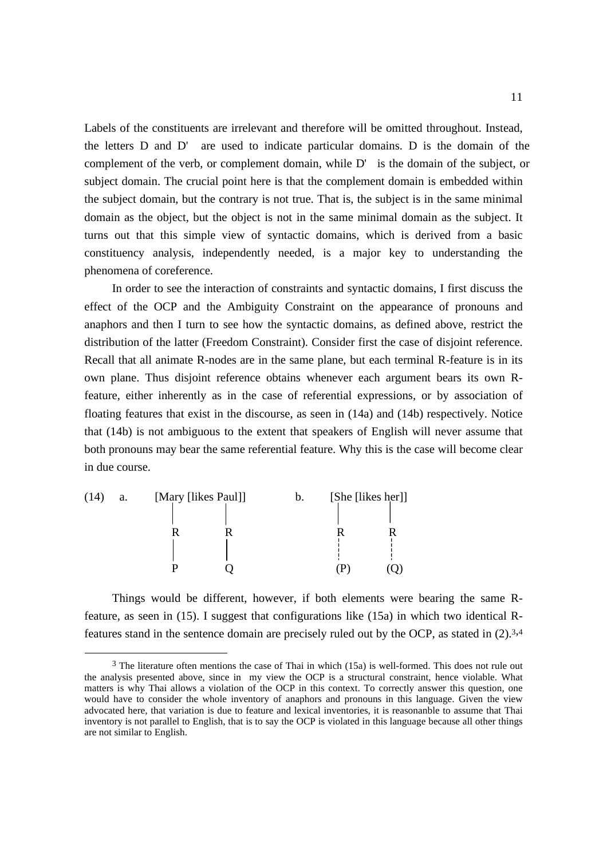Labels of the constituents are irrelevant and therefore will be omitted throughout. Instead, the letters D and D' are used to indicate particular domains. D is the domain of the complement of the verb, or complement domain, while D' is the domain of the subject, or subject domain. The crucial point here is that the complement domain is embedded within the subject domain, but the contrary is not true. That is, the subject is in the same minimal domain as the object, but the object is not in the same minimal domain as the subject. It turns out that this simple view of syntactic domains, which is derived from a basic constituency analysis, independently needed, is a major key to understanding the phenomena of coreference.

In order to see the interaction of constraints and syntactic domains, I first discuss the effect of the OCP and the Ambiguity Constraint on the appearance of pronouns and anaphors and then I turn to see how the syntactic domains, as defined above, restrict the distribution of the latter (Freedom Constraint). Consider first the case of disjoint reference. Recall that all animate R-nodes are in the same plane, but each terminal R-feature is in its own plane. Thus disjoint reference obtains whenever each argument bears its own Rfeature, either inherently as in the case of referential expressions, or by association of floating features that exist in the discourse, as seen in (14a) and (14b) respectively. Notice that (14b) is not ambiguous to the extent that speakers of English will never assume that both pronouns may bear the same referential feature. Why this is the case will become clear in due course.

(14) a. [Mary [likes Paul]] b. [She [likes her]] R R R R P Q (P) (Q)

 $\overline{a}$ 

Things would be different, however, if both elements were bearing the same Rfeature, as seen in (15). I suggest that configurations like (15a) in which two identical Rfeatures stand in the sentence domain are precisely ruled out by the OCP, as stated in (2).<sup>3,4</sup>

<sup>3</sup> The literature often mentions the case of Thai in which (15a) is well-formed. This does not rule out the analysis presented above, since in my view the OCP is a structural constraint, hence violable. What matters is why Thai allows a violation of the OCP in this context. To correctly answer this question, one would have to consider the whole inventory of anaphors and pronouns in this language. Given the view advocated here, that variation is due to feature and lexical inventories, it is reasonanble to assume that Thai inventory is not parallel to English, that is to say the OCP is violated in this language because all other things are not similar to English.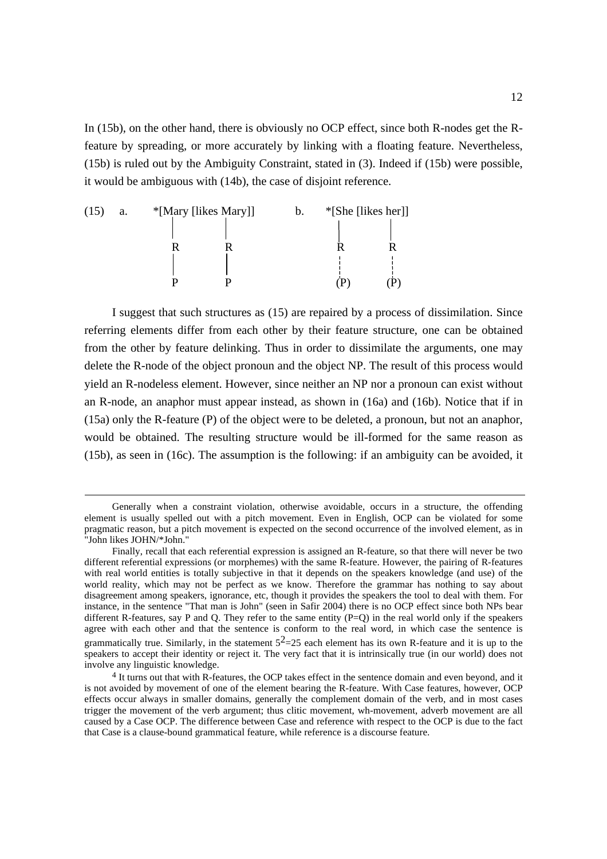In (15b), on the other hand, there is obviously no OCP effect, since both R-nodes get the Rfeature by spreading, or more accurately by linking with a floating feature. Nevertheless, (15b) is ruled out by the Ambiguity Constraint, stated in (3). Indeed if (15b) were possible, it would be ambiguous with (14b), the case of disjoint reference.

(15) a. \*[Mary [likes Mary]] b. \*[She [likes her]] R R R R P P (P) (P)

 $\overline{a}$ 

I suggest that such structures as (15) are repaired by a process of dissimilation. Since referring elements differ from each other by their feature structure, one can be obtained from the other by feature delinking. Thus in order to dissimilate the arguments, one may delete the R-node of the object pronoun and the object NP. The result of this process would yield an R-nodeless element. However, since neither an NP nor a pronoun can exist without an R-node, an anaphor must appear instead, as shown in (16a) and (16b). Notice that if in (15a) only the R-feature (P) of the object were to be deleted, a pronoun, but not an anaphor, would be obtained. The resulting structure would be ill-formed for the same reason as (15b), as seen in (16c). The assumption is the following: if an ambiguity can be avoided, it

Generally when a constraint violation, otherwise avoidable, occurs in a structure, the offending element is usually spelled out with a pitch movement. Even in English, OCP can be violated for some pragmatic reason, but a pitch movement is expected on the second occurrence of the involved element, as in "John likes JOHN/\*John."

Finally, recall that each referential expression is assigned an R-feature, so that there will never be two different referential expressions (or morphemes) with the same R-feature. However, the pairing of R-features with real world entities is totally subjective in that it depends on the speakers knowledge (and use) of the world reality, which may not be perfect as we know. Therefore the grammar has nothing to say about disagreement among speakers, ignorance, etc, though it provides the speakers the tool to deal with them. For instance, in the sentence "That man is John" (seen in Safir 2004) there is no OCP effect since both NPs bear different R-features, say P and Q. They refer to the same entity  $(P=Q)$  in the real world only if the speakers agree with each other and that the sentence is conform to the real word, in which case the sentence is grammatically true. Similarly, in the statement  $5^2$  = 25 each element has its own R-feature and it is up to the speakers to accept their identity or reject it. The very fact that it is intrinsically true (in our world) does not involve any linguistic knowledge.

<sup>4</sup> It turns out that with R-features, the OCP takes effect in the sentence domain and even beyond, and it is not avoided by movement of one of the element bearing the R-feature. With Case features, however, OCP effects occur always in smaller domains, generally the complement domain of the verb, and in most cases trigger the movement of the verb argument; thus clitic movement, wh-movement, adverb movement are all caused by a Case OCP. The difference between Case and reference with respect to the OCP is due to the fact that Case is a clause-bound grammatical feature, while reference is a discourse feature.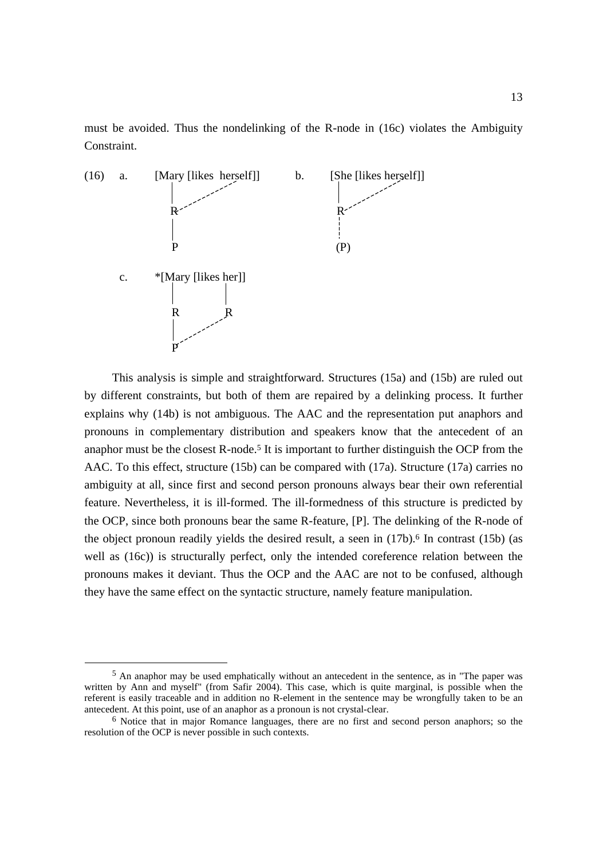must be avoided. Thus the nondelinking of the R-node in (16c) violates the Ambiguity Constraint.



This analysis is simple and straightforward. Structures (15a) and (15b) are ruled out by different constraints, but both of them are repaired by a delinking process. It further explains why (14b) is not ambiguous. The AAC and the representation put anaphors and pronouns in complementary distribution and speakers know that the antecedent of an anaphor must be the closest R-node. <sup>5</sup> It is important to further distinguish the OCP from the AAC. To this effect, structure (15b) can be compared with (17a). Structure (17a) carries no ambiguity at all, since first and second person pronouns always bear their own referential feature. Nevertheless, it is ill-formed. The ill-formedness of this structure is predicted by the OCP, since both pronouns bear the same R-feature, [P]. The delinking of the R-node of the object pronoun readily yields the desired result, a seen in (17b). <sup>6</sup> In contrast (15b) (as well as (16c)) is structurally perfect, only the intended coreference relation between the pronouns makes it deviant. Thus the OCP and the AAC are not to be confused, although they have the same effect on the syntactic structure, namely feature manipulation.

 $\overline{a}$ 

<sup>5</sup> An anaphor may be used emphatically without an antecedent in the sentence, as in "The paper was written by Ann and myself" (from Safir 2004). This case, which is quite marginal, is possible when the referent is easily traceable and in addition no R-element in the sentence may be wrongfully taken to be an antecedent. At this point, use of an anaphor as a pronoun is not crystal-clear.

 $6$  Notice that in major Romance languages, there are no first and second person anaphors; so the resolution of the OCP is never possible in such contexts.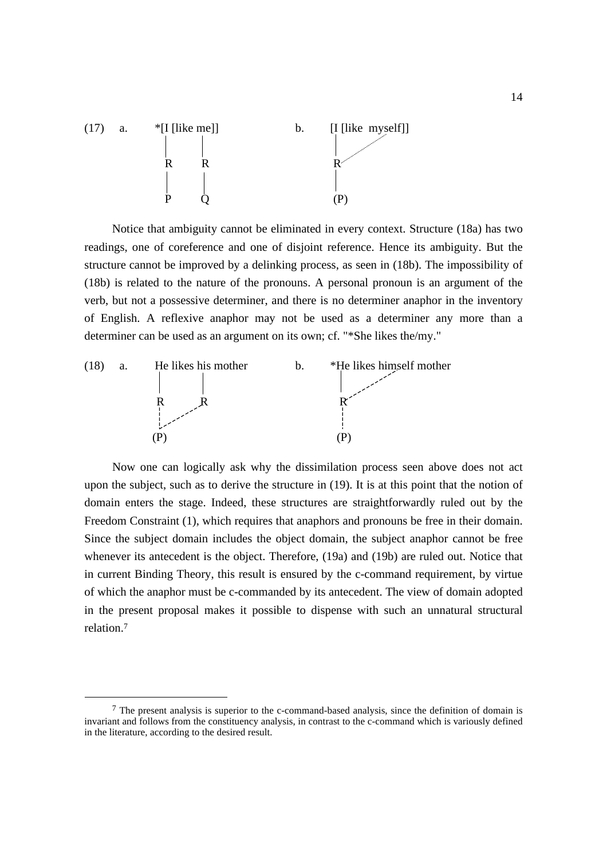

Notice that ambiguity cannot be eliminated in every context. Structure (18a) has two readings, one of coreference and one of disjoint reference. Hence its ambiguity. But the structure cannot be improved by a delinking process, as seen in (18b). The impossibility of (18b) is related to the nature of the pronouns. A personal pronoun is an argument of the verb, but not a possessive determiner, and there is no determiner anaphor in the inventory of English. A reflexive anaphor may not be used as a determiner any more than a determiner can be used as an argument on its own; cf. "\*She likes the/my."



Now one can logically ask why the dissimilation process seen above does not act upon the subject, such as to derive the structure in (19). It is at this point that the notion of domain enters the stage. Indeed, these structures are straightforwardly ruled out by the Freedom Constraint (1), which requires that anaphors and pronouns be free in their domain. Since the subject domain includes the object domain, the subject anaphor cannot be free whenever its antecedent is the object. Therefore, (19a) and (19b) are ruled out. Notice that in current Binding Theory, this result is ensured by the c-command requirement, by virtue of which the anaphor must be c-commanded by its antecedent. The view of domain adopted in the present proposal makes it possible to dispense with such an unnatural structural relation.<sup>7</sup>

 $\overline{a}$ 

 $<sup>7</sup>$  The present analysis is superior to the c-command-based analysis, since the definition of domain is</sup> invariant and follows from the constituency analysis, in contrast to the c-command which is variously defined in the literature, according to the desired result.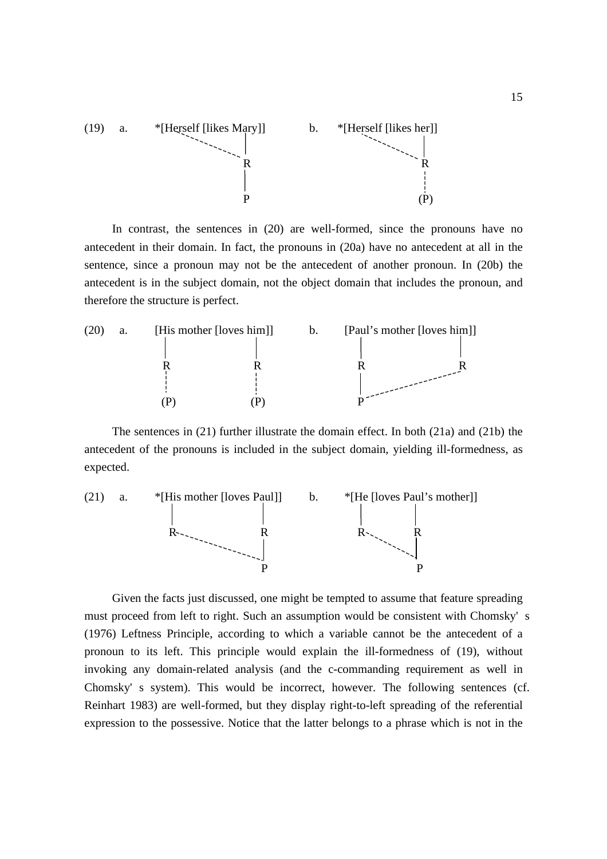

In contrast, the sentences in (20) are well-formed, since the pronouns have no antecedent in their domain. In fact, the pronouns in (20a) have no antecedent at all in the sentence, since a pronoun may not be the antecedent of another pronoun. In (20b) the antecedent is in the subject domain, not the object domain that includes the pronoun, and therefore the structure is perfect.



The sentences in (21) further illustrate the domain effect. In both (21a) and (21b) the antecedent of the pronouns is included in the subject domain, yielding ill-formedness, as expected.



Given the facts just discussed, one might be tempted to assume that feature spreading must proceed from left to right. Such an assumption would be consistent with Chomsky' s (1976) Leftness Principle, according to which a variable cannot be the antecedent of a pronoun to its left. This principle would explain the ill-formedness of (19), without invoking any domain-related analysis (and the c-commanding requirement as well in Chomsky' s system). This would be incorrect, however. The following sentences (cf. Reinhart 1983) are well-formed, but they display right-to-left spreading of the referential expression to the possessive. Notice that the latter belongs to a phrase which is not in the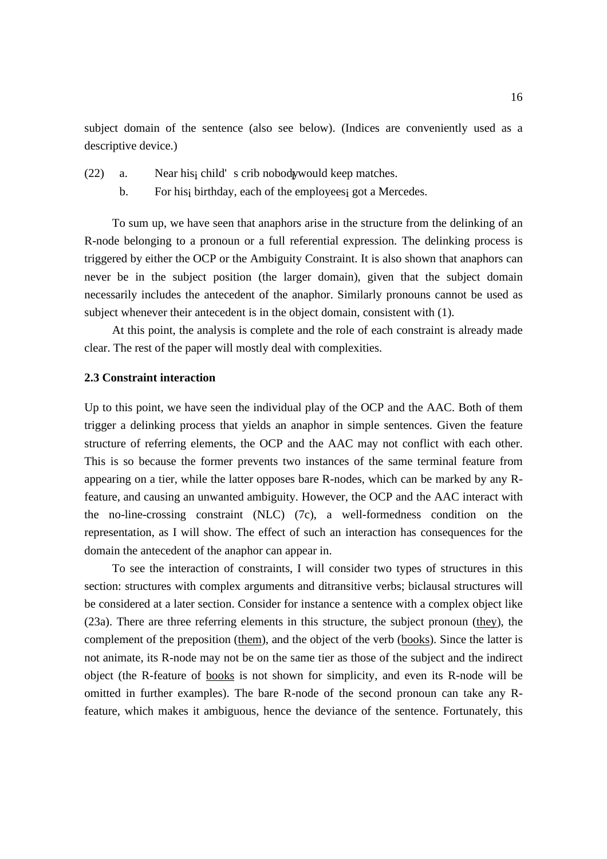subject domain of the sentence (also see below). (Indices are conveniently used as a descriptive device.)

- $(22)$  a. Near hist child's crib nobody would keep matches.
	- b. For his<sub>i</sub> birthday, each of the employees<sub>i</sub> got a Mercedes.

To sum up, we have seen that anaphors arise in the structure from the delinking of an R-node belonging to a pronoun or a full referential expression. The delinking process is triggered by either the OCP or the Ambiguity Constraint. It is also shown that anaphors can never be in the subject position (the larger domain), given that the subject domain necessarily includes the antecedent of the anaphor. Similarly pronouns cannot be used as subject whenever their antecedent is in the object domain, consistent with (1).

At this point, the analysis is complete and the role of each constraint is already made clear. The rest of the paper will mostly deal with complexities.

### **2.3 Constraint interaction**

Up to this point, we have seen the individual play of the OCP and the AAC. Both of them trigger a delinking process that yields an anaphor in simple sentences. Given the feature structure of referring elements, the OCP and the AAC may not conflict with each other. This is so because the former prevents two instances of the same terminal feature from appearing on a tier, while the latter opposes bare R-nodes, which can be marked by any Rfeature, and causing an unwanted ambiguity. However, the OCP and the AAC interact with the no-line-crossing constraint (NLC) (7c), a well-formedness condition on the representation, as I will show. The effect of such an interaction has consequences for the domain the antecedent of the anaphor can appear in.

To see the interaction of constraints, I will consider two types of structures in this section: structures with complex arguments and ditransitive verbs; biclausal structures will be considered at a later section. Consider for instance a sentence with a complex object like (23a). There are three referring elements in this structure, the subject pronoun (they), the complement of the preposition (them), and the object of the verb (books). Since the latter is not animate, its R-node may not be on the same tier as those of the subject and the indirect object (the R-feature of books is not shown for simplicity, and even its R-node will be omitted in further examples). The bare R-node of the second pronoun can take any Rfeature, which makes it ambiguous, hence the deviance of the sentence. Fortunately, this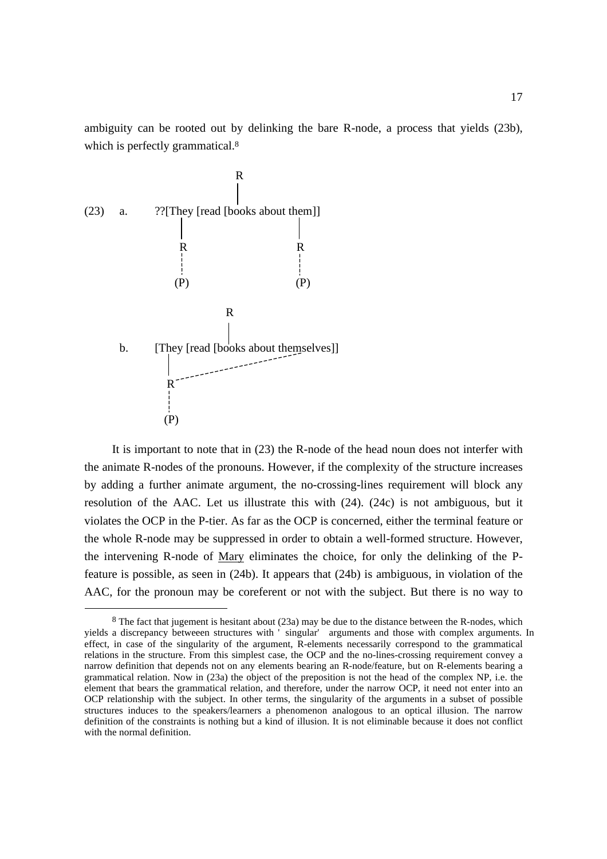ambiguity can be rooted out by delinking the bare R-node, a process that yields (23b), which is perfectly grammatical.<sup>8</sup>



 $\overline{a}$ 

It is important to note that in (23) the R-node of the head noun does not interfer with the animate R-nodes of the pronouns. However, if the complexity of the structure increases by adding a further animate argument, the no-crossing-lines requirement will block any resolution of the AAC. Let us illustrate this with (24). (24c) is not ambiguous, but it violates the OCP in the P-tier. As far as the OCP is concerned, either the terminal feature or the whole R-node may be suppressed in order to obtain a well-formed structure. However, the intervening R-node of Mary eliminates the choice, for only the delinking of the Pfeature is possible, as seen in (24b). It appears that (24b) is ambiguous, in violation of the AAC, for the pronoun may be coreferent or not with the subject. But there is no way to

<sup>8</sup> The fact that jugement is hesitant about (23a) may be due to the distance between the R-nodes, which yields a discrepancy betweeen structures with ' singular' arguments and those with complex arguments. In effect, in case of the singularity of the argument, R-elements necessarily correspond to the grammatical relations in the structure. From this simplest case, the OCP and the no-lines-crossing requirement convey a narrow definition that depends not on any elements bearing an R-node/feature, but on R-elements bearing a grammatical relation. Now in (23a) the object of the preposition is not the head of the complex NP, i.e. the element that bears the grammatical relation, and therefore, under the narrow OCP, it need not enter into an OCP relationship with the subject. In other terms, the singularity of the arguments in a subset of possible structures induces to the speakers/learners a phenomenon analogous to an optical illusion. The narrow definition of the constraints is nothing but a kind of illusion. It is not eliminable because it does not conflict with the normal definition.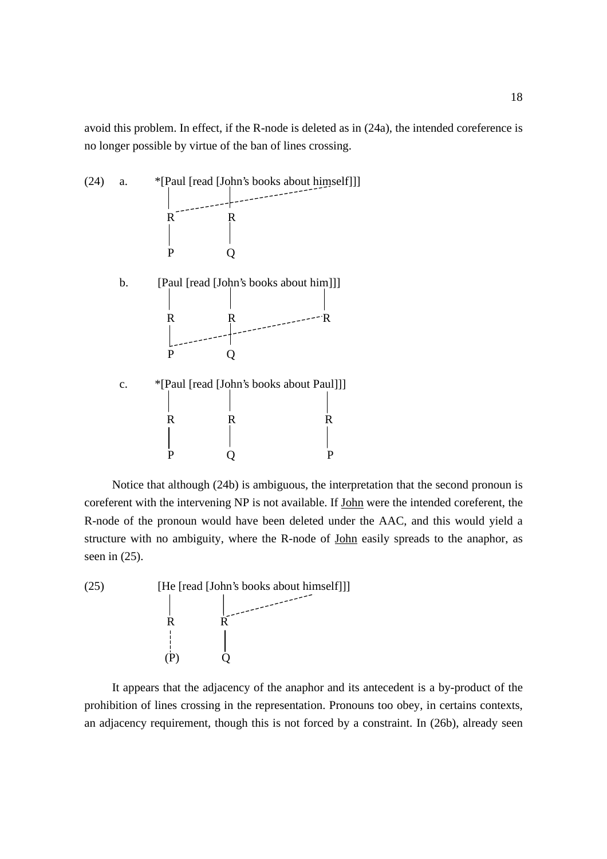avoid this problem. In effect, if the R-node is deleted as in (24a), the intended coreference is no longer possible by virtue of the ban of lines crossing.



Notice that although (24b) is ambiguous, the interpretation that the second pronoun is coreferent with the intervening NP is not available. If John were the intended coreferent, the R-node of the pronoun would have been deleted under the AAC, and this would yield a structure with no ambiguity, where the R-node of John easily spreads to the anaphor, as seen in (25).



It appears that the adjacency of the anaphor and its antecedent is a by-product of the prohibition of lines crossing in the representation. Pronouns too obey, in certains contexts, an adjacency requirement, though this is not forced by a constraint. In (26b), already seen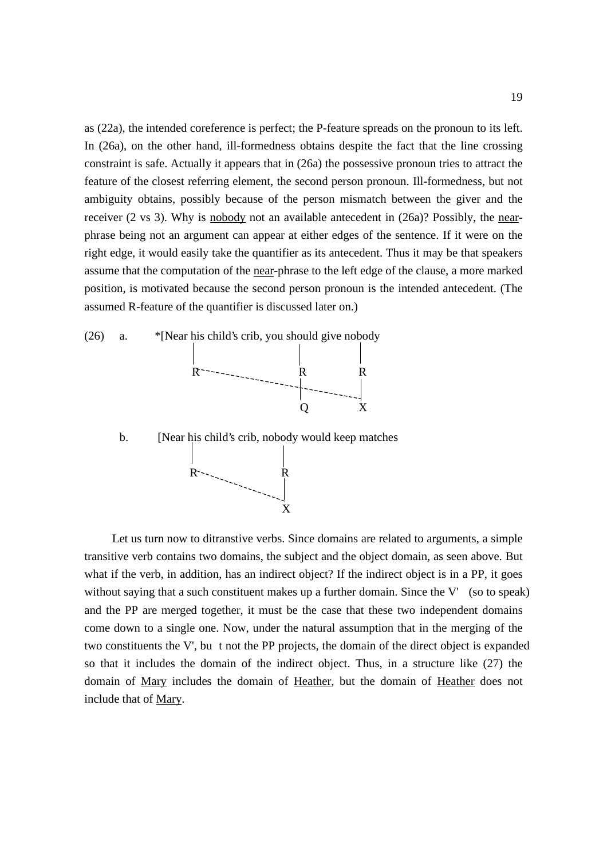as (22a), the intended coreference is perfect; the P-feature spreads on the pronoun to its left. In (26a), on the other hand, ill-formedness obtains despite the fact that the line crossing constraint is safe. Actually it appears that in (26a) the possessive pronoun tries to attract the feature of the closest referring element, the second person pronoun. Ill-formedness, but not ambiguity obtains, possibly because of the person mismatch between the giver and the receiver (2 vs 3). Why is nobody not an available antecedent in (26a)? Possibly, the nearphrase being not an argument can appear at either edges of the sentence. If it were on the right edge, it would easily take the quantifier as its antecedent. Thus it may be that speakers assume that the computation of the near-phrase to the left edge of the clause, a more marked position, is motivated because the second person pronoun is the intended antecedent. (The assumed R-feature of the quantifier is discussed later on.)



Let us turn now to ditranstive verbs. Since domains are related to arguments, a simple transitive verb contains two domains, the subject and the object domain, as seen above. But what if the verb, in addition, has an indirect object? If the indirect object is in a PP, it goes without saying that a such constituent makes up a further domain. Since the V' (so to speak) and the PP are merged together, it must be the case that these two independent domains come down to a single one. Now, under the natural assumption that in the merging of the two constituents the V', bu t not the PP projects, the domain of the direct object is expanded so that it includes the domain of the indirect object. Thus, in a structure like (27) the domain of Mary includes the domain of Heather, but the domain of Heather does not include that of Mary.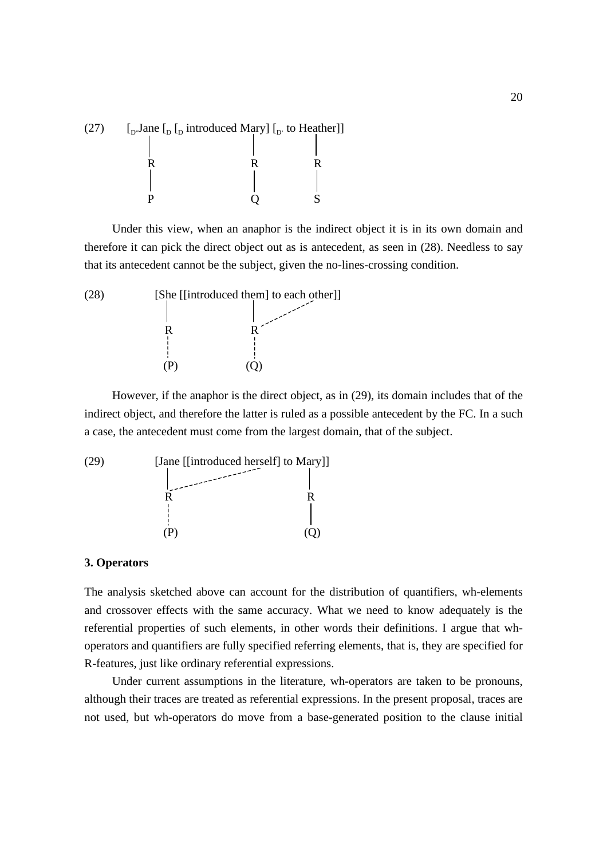

Under this view, when an anaphor is the indirect object it is in its own domain and therefore it can pick the direct object out as is antecedent, as seen in (28). Needless to say that its antecedent cannot be the subject, given the no-lines-crossing condition.



However, if the anaphor is the direct object, as in (29), its domain includes that of the indirect object, and therefore the latter is ruled as a possible antecedent by the FC. In a such a case, the antecedent must come from the largest domain, that of the subject.

(29) [Jane [[introduced herself] to Mary]] |<br>| R<br>|-<br>| R  $(P)$  (Q)

#### **3. Operators**

The analysis sketched above can account for the distribution of quantifiers, wh-elements and crossover effects with the same accuracy. What we need to know adequately is the referential properties of such elements, in other words their definitions. I argue that whoperators and quantifiers are fully specified referring elements, that is, they are specified for R-features, just like ordinary referential expressions.

Under current assumptions in the literature, wh-operators are taken to be pronouns, although their traces are treated as referential expressions. In the present proposal, traces are not used, but wh-operators do move from a base-generated position to the clause initial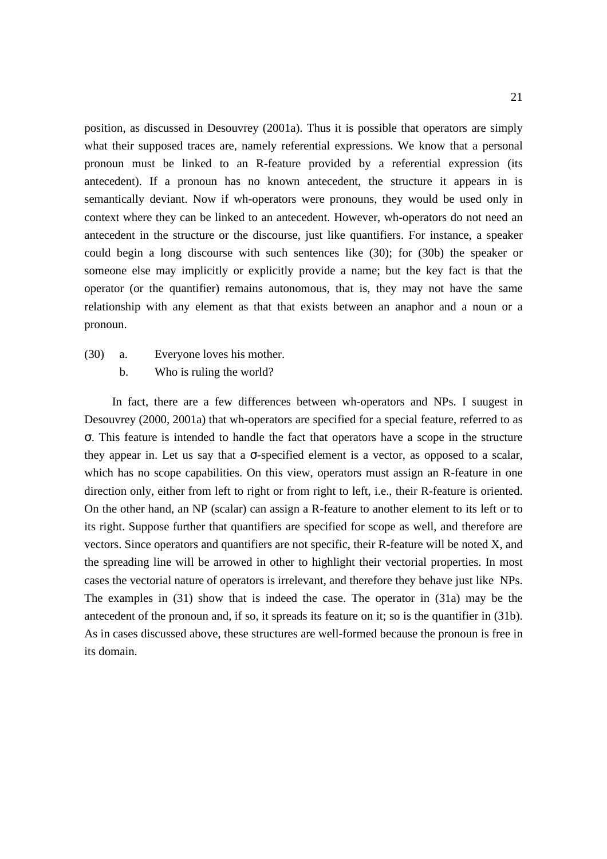position, as discussed in Desouvrey (2001a). Thus it is possible that operators are simply what their supposed traces are, namely referential expressions. We know that a personal pronoun must be linked to an R-feature provided by a referential expression (its antecedent). If a pronoun has no known antecedent, the structure it appears in is semantically deviant. Now if wh-operators were pronouns, they would be used only in context where they can be linked to an antecedent. However, wh-operators do not need an antecedent in the structure or the discourse, just like quantifiers. For instance, a speaker could begin a long discourse with such sentences like (30); for (30b) the speaker or someone else may implicitly or explicitly provide a name; but the key fact is that the operator (or the quantifier) remains autonomous, that is, they may not have the same relationship with any element as that that exists between an anaphor and a noun or a pronoun.

- (30) a. Everyone loves his mother.
	- b. Who is ruling the world?

In fact, there are a few differences between wh-operators and NPs. I suugest in Desouvrey (2000, 2001a) that wh-operators are specified for a special feature, referred to as σ. This feature is intended to handle the fact that operators have a scope in the structure they appear in. Let us say that a  $\sigma$ -specified element is a vector, as opposed to a scalar, which has no scope capabilities. On this view, operators must assign an R-feature in one direction only, either from left to right or from right to left, i.e., their R-feature is oriented. On the other hand, an NP (scalar) can assign a R-feature to another element to its left or to its right. Suppose further that quantifiers are specified for scope as well, and therefore are vectors. Since operators and quantifiers are not specific, their R-feature will be noted X, and the spreading line will be arrowed in other to highlight their vectorial properties. In most cases the vectorial nature of operators is irrelevant, and therefore they behave just like NPs. The examples in (31) show that is indeed the case. The operator in (31a) may be the antecedent of the pronoun and, if so, it spreads its feature on it; so is the quantifier in (31b). As in cases discussed above, these structures are well-formed because the pronoun is free in its domain.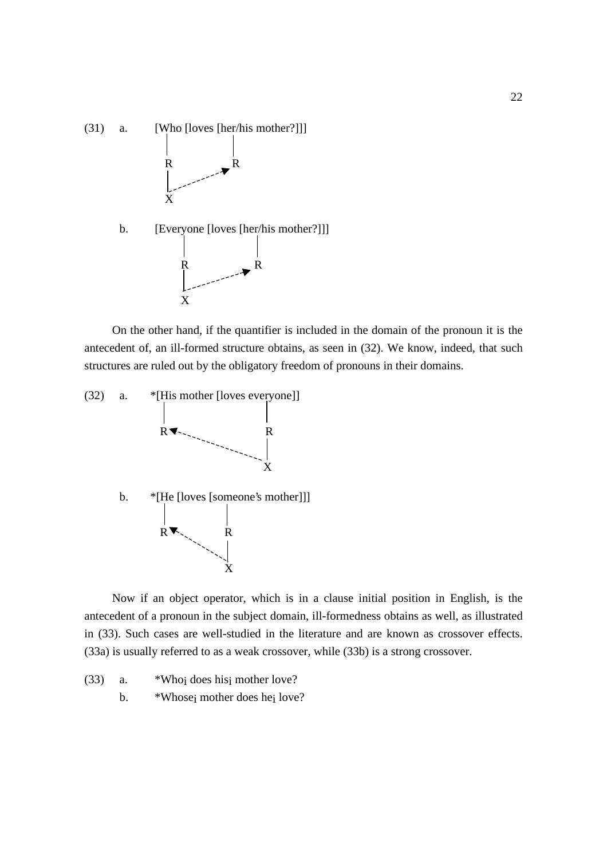

On the other hand, if the quantifier is included in the domain of the pronoun it is the antecedent of, an ill-formed structure obtains, as seen in (32). We know, indeed, that such structures are ruled out by the obligatory freedom of pronouns in their domains.



Now if an object operator, which is in a clause initial position in English, is the antecedent of a pronoun in the subject domain, ill-formedness obtains as well, as illustrated in (33). Such cases are well-studied in the literature and are known as crossover effects. (33a) is usually referred to as a weak crossover, while (33b) is a strong crossover.

(33) a. \*Whoi does hisi mother love? b. \*Whose<sub>i</sub> mother does he<sub>i</sub> love?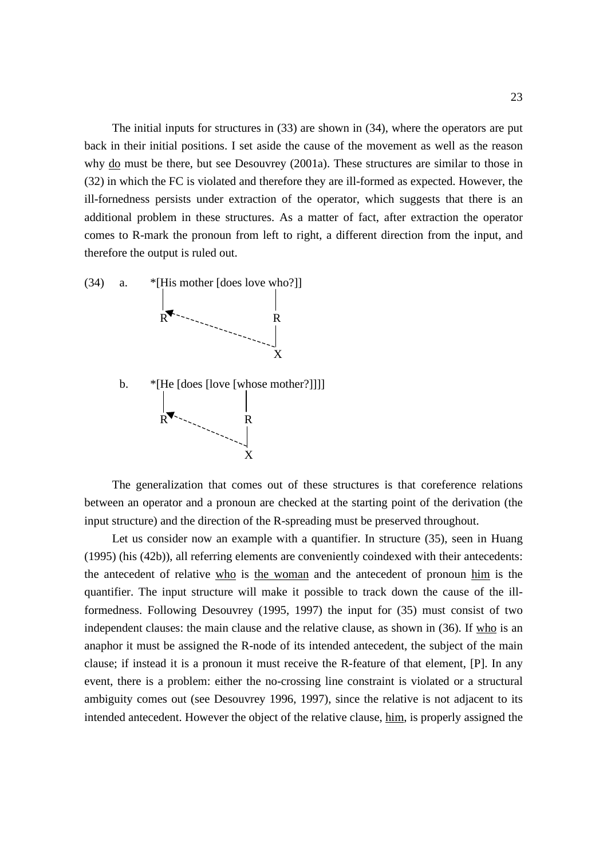The initial inputs for structures in (33) are shown in (34), where the operators are put back in their initial positions. I set aside the cause of the movement as well as the reason why do must be there, but see Desouvrey (2001a). These structures are similar to those in (32) in which the FC is violated and therefore they are ill-formed as expected. However, the ill-fornedness persists under extraction of the operator, which suggests that there is an additional problem in these structures. As a matter of fact, after extraction the operator comes to R-mark the pronoun from left to right, a different direction from the input, and therefore the output is ruled out.



The generalization that comes out of these structures is that coreference relations between an operator and a pronoun are checked at the starting point of the derivation (the input structure) and the direction of the R-spreading must be preserved throughout.

Let us consider now an example with a quantifier. In structure (35), seen in Huang (1995) (his (42b)), all referring elements are conveniently coindexed with their antecedents: the antecedent of relative who is the woman and the antecedent of pronoun him is the quantifier. The input structure will make it possible to track down the cause of the illformedness. Following Desouvrey (1995, 1997) the input for (35) must consist of two independent clauses: the main clause and the relative clause, as shown in (36). If who is an anaphor it must be assigned the R-node of its intended antecedent, the subject of the main clause; if instead it is a pronoun it must receive the R-feature of that element, [P]. In any event, there is a problem: either the no-crossing line constraint is violated or a structural ambiguity comes out (see Desouvrey 1996, 1997), since the relative is not adjacent to its intended antecedent. However the object of the relative clause, him, is properly assigned the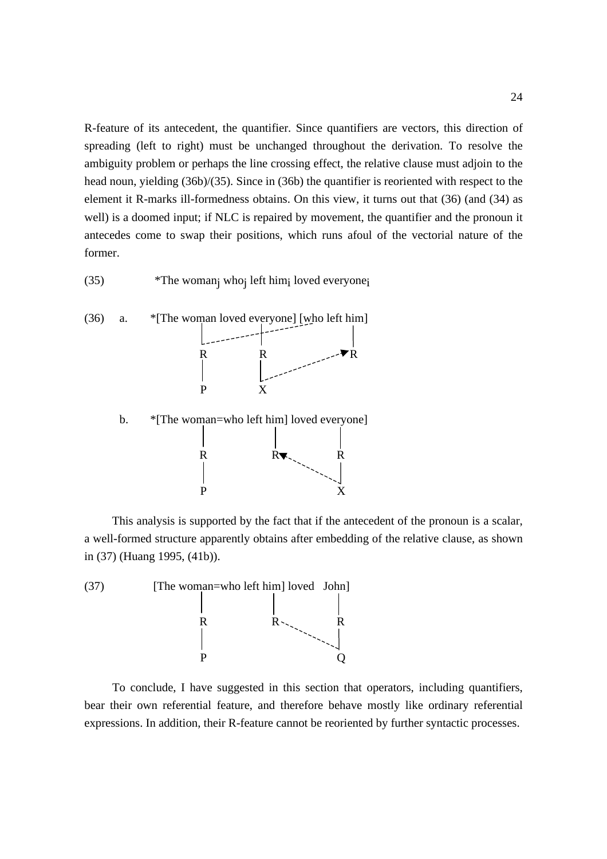R-feature of its antecedent, the quantifier. Since quantifiers are vectors, this direction of spreading (left to right) must be unchanged throughout the derivation. To resolve the ambiguity problem or perhaps the line crossing effect, the relative clause must adjoin to the head noun, yielding (36b)/(35). Since in (36b) the quantifier is reoriented with respect to the element it R-marks ill-formedness obtains. On this view, it turns out that (36) (and (34) as well) is a doomed input; if NLC is repaired by movement, the quantifier and the pronoun it antecedes come to swap their positions, which runs afoul of the vectorial nature of the former.

(35) \*The womanj whoj left himi loved everyonei



This analysis is supported by the fact that if the antecedent of the pronoun is a scalar, a well-formed structure apparently obtains after embedding of the relative clause, as shown in (37) (Huang 1995, (41b)).

P X



To conclude, I have suggested in this section that operators, including quantifiers, bear their own referential feature, and therefore behave mostly like ordinary referential expressions. In addition, their R-feature cannot be reoriented by further syntactic processes.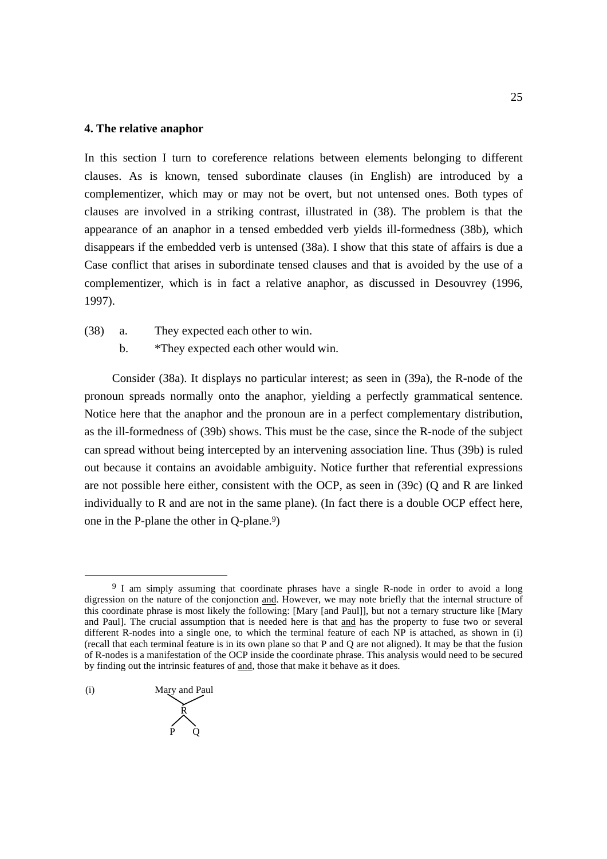#### **4. The relative anaphor**

In this section I turn to coreference relations between elements belonging to different clauses. As is known, tensed subordinate clauses (in English) are introduced by a complementizer, which may or may not be overt, but not untensed ones. Both types of clauses are involved in a striking contrast, illustrated in (38). The problem is that the appearance of an anaphor in a tensed embedded verb yields ill-formedness (38b), which disappears if the embedded verb is untensed (38a). I show that this state of affairs is due a Case conflict that arises in subordinate tensed clauses and that is avoided by the use of a complementizer, which is in fact a relative anaphor, as discussed in Desouvrey (1996, 1997).

(38) a. They expected each other to win. b. \*They expected each other would win.

Consider (38a). It displays no particular interest; as seen in (39a), the R-node of the pronoun spreads normally onto the anaphor, yielding a perfectly grammatical sentence. Notice here that the anaphor and the pronoun are in a perfect complementary distribution, as the ill-formedness of (39b) shows. This must be the case, since the R-node of the subject can spread without being intercepted by an intervening association line. Thus (39b) is ruled out because it contains an avoidable ambiguity. Notice further that referential expressions are not possible here either, consistent with the OCP, as seen in (39c) (Q and R are linked individually to R and are not in the same plane). (In fact there is a double OCP effect here, one in the P-plane the other in Q-plane. 9)

(i) Mary and Paul R P Q

 $\overline{a}$ 

<sup>&</sup>lt;sup>9</sup> I am simply assuming that coordinate phrases have a single R-node in order to avoid a long digression on the nature of the conjonction and. However, we may note briefly that the internal structure of this coordinate phrase is most likely the following: [Mary [and Paul]], but not a ternary structure like [Mary and Paul]. The crucial assumption that is needed here is that and has the property to fuse two or several different R-nodes into a single one, to which the terminal feature of each NP is attached, as shown in (i) (recall that each terminal feature is in its own plane so that P and Q are not aligned). It may be that the fusion of R-nodes is a manifestation of the OCP inside the coordinate phrase. This analysis would need to be secured by finding out the intrinsic features of and, those that make it behave as it does.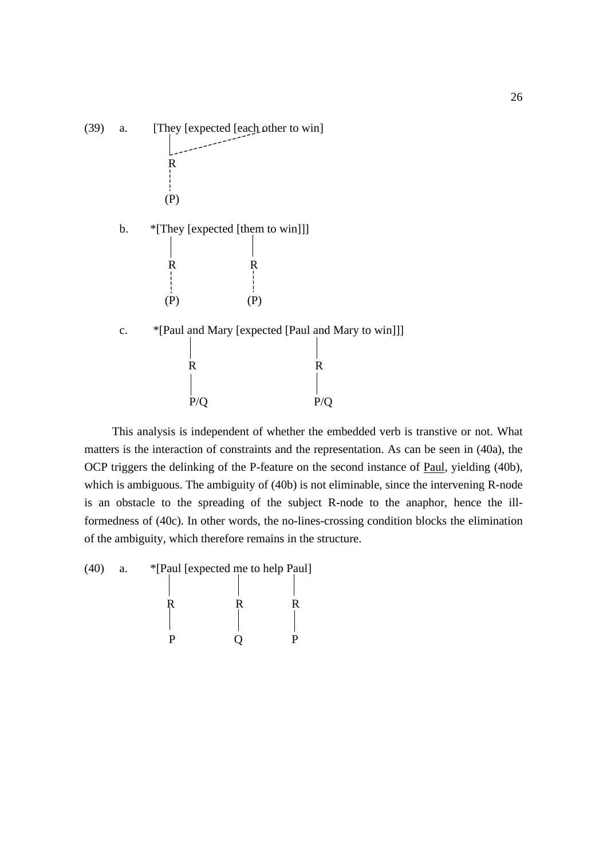

This analysis is independent of whether the embedded verb is transtive or not. What matters is the interaction of constraints and the representation. As can be seen in (40a), the OCP triggers the delinking of the P-feature on the second instance of Paul, yielding (40b), which is ambiguous. The ambiguity of (40b) is not eliminable, since the intervening R-node is an obstacle to the spreading of the subject R-node to the anaphor, hence the illformedness of (40c). In other words, the no-lines-crossing condition blocks the elimination of the ambiguity, which therefore remains in the structure.

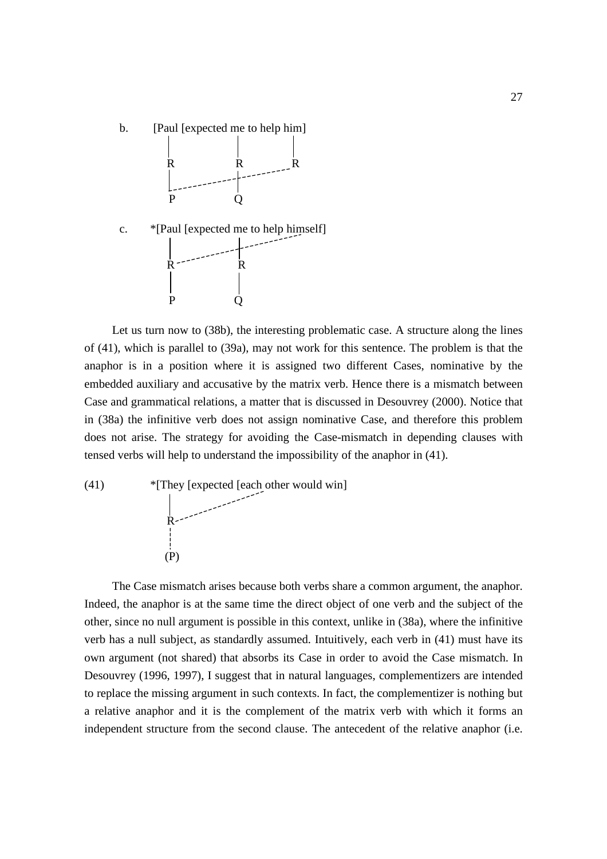

Let us turn now to (38b), the interesting problematic case. A structure along the lines of (41), which is parallel to (39a), may not work for this sentence. The problem is that the anaphor is in a position where it is assigned two different Cases, nominative by the embedded auxiliary and accusative by the matrix verb. Hence there is a mismatch between Case and grammatical relations, a matter that is discussed in Desouvrey (2000). Notice that in (38a) the infinitive verb does not assign nominative Case, and therefore this problem does not arise. The strategy for avoiding the Case-mismatch in depending clauses with tensed verbs will help to understand the impossibility of the anaphor in (41).

(41) \*[They [expected [each other would win] R (P)

The Case mismatch arises because both verbs share a common argument, the anaphor. Indeed, the anaphor is at the same time the direct object of one verb and the subject of the other, since no null argument is possible in this context, unlike in (38a), where the infinitive verb has a null subject, as standardly assumed. Intuitively, each verb in (41) must have its own argument (not shared) that absorbs its Case in order to avoid the Case mismatch. In Desouvrey (1996, 1997), I suggest that in natural languages, complementizers are intended to replace the missing argument in such contexts. In fact, the complementizer is nothing but a relative anaphor and it is the complement of the matrix verb with which it forms an independent structure from the second clause. The antecedent of the relative anaphor (i.e.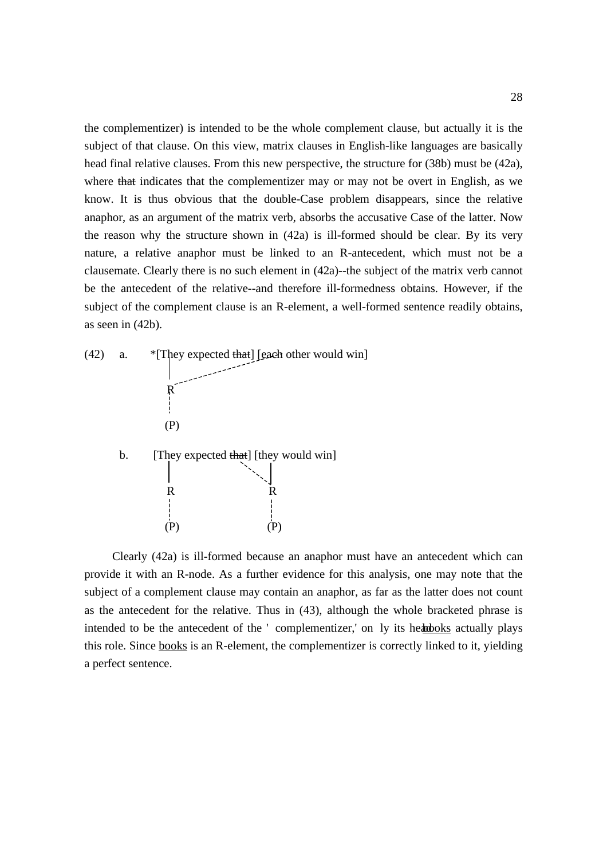the complementizer) is intended to be the whole complement clause, but actually it is the subject of that clause. On this view, matrix clauses in English-like languages are basically head final relative clauses. From this new perspective, the structure for (38b) must be (42a), where that indicates that the complementizer may or may not be overt in English, as we know. It is thus obvious that the double-Case problem disappears, since the relative anaphor, as an argument of the matrix verb, absorbs the accusative Case of the latter. Now the reason why the structure shown in (42a) is ill-formed should be clear. By its very nature, a relative anaphor must be linked to an R-antecedent, which must not be a clausemate. Clearly there is no such element in (42a)--the subject of the matrix verb cannot be the antecedent of the relative--and therefore ill-formedness obtains. However, if the subject of the complement clause is an R-element, a well-formed sentence readily obtains, as seen in (42b).



Clearly (42a) is ill-formed because an anaphor must have an antecedent which can provide it with an R-node. As a further evidence for this analysis, one may note that the subject of a complement clause may contain an anaphor, as far as the latter does not count as the antecedent for the relative. Thus in (43), although the whole bracketed phrase is intended to be the antecedent of the ' complementizer,' on ly its headooks actually plays this role. Since books is an R-element, the complementizer is correctly linked to it, yielding a perfect sentence.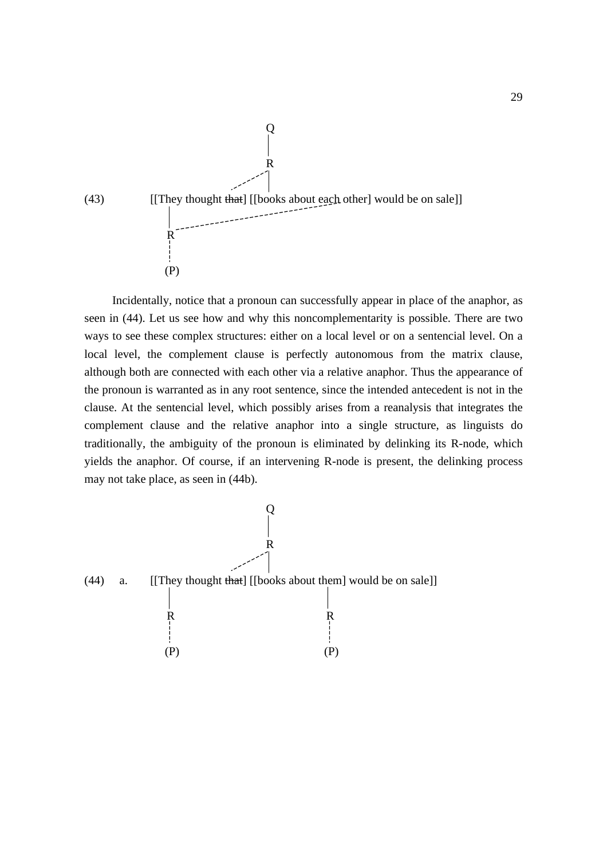

Incidentally, notice that a pronoun can successfully appear in place of the anaphor, as seen in (44). Let us see how and why this noncomplementarity is possible. There are two ways to see these complex structures: either on a local level or on a sentencial level. On a local level, the complement clause is perfectly autonomous from the matrix clause, although both are connected with each other via a relative anaphor. Thus the appearance of the pronoun is warranted as in any root sentence, since the intended antecedent is not in the clause. At the sentencial level, which possibly arises from a reanalysis that integrates the complement clause and the relative anaphor into a single structure, as linguists do traditionally, the ambiguity of the pronoun is eliminated by delinking its R-node, which yields the anaphor. Of course, if an intervening R-node is present, the delinking process may not take place, as seen in (44b).

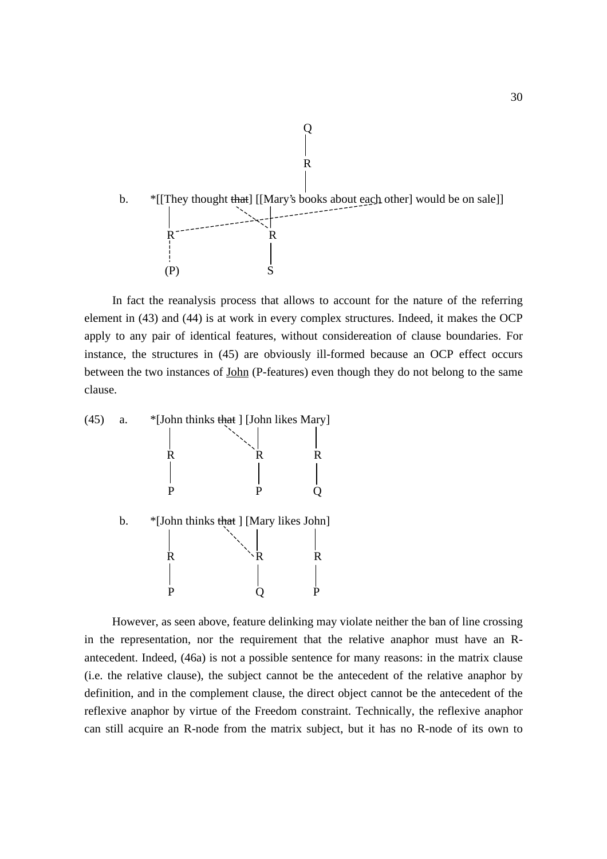

In fact the reanalysis process that allows to account for the nature of the referring element in (43) and (44) is at work in every complex structures. Indeed, it makes the OCP apply to any pair of identical features, without considereation of clause boundaries. For instance, the structures in (45) are obviously ill-formed because an OCP effect occurs between the two instances of John (P-features) even though they do not belong to the same clause.



However, as seen above, feature delinking may violate neither the ban of line crossing in the representation, nor the requirement that the relative anaphor must have an Rantecedent. Indeed, (46a) is not a possible sentence for many reasons: in the matrix clause (i.e. the relative clause), the subject cannot be the antecedent of the relative anaphor by definition, and in the complement clause, the direct object cannot be the antecedent of the reflexive anaphor by virtue of the Freedom constraint. Technically, the reflexive anaphor can still acquire an R-node from the matrix subject, but it has no R-node of its own to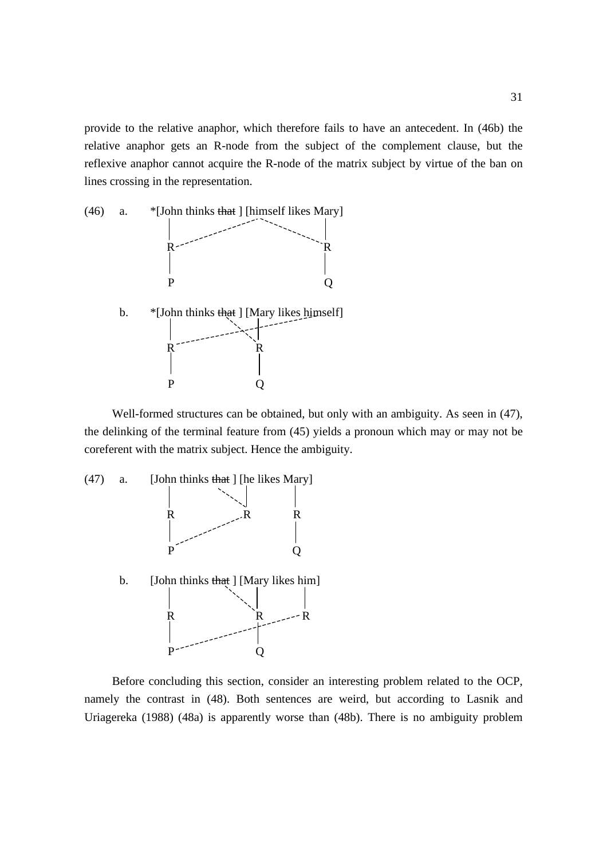provide to the relative anaphor, which therefore fails to have an antecedent. In (46b) the relative anaphor gets an R-node from the subject of the complement clause, but the reflexive anaphor cannot acquire the R-node of the matrix subject by virtue of the ban on lines crossing in the representation.



Well-formed structures can be obtained, but only with an ambiguity. As seen in (47), the delinking of the terminal feature from (45) yields a pronoun which may or may not be coreferent with the matrix subject. Hence the ambiguity.



Before concluding this section, consider an interesting problem related to the OCP, namely the contrast in (48). Both sentences are weird, but according to Lasnik and Uriagereka (1988) (48a) is apparently worse than (48b). There is no ambiguity problem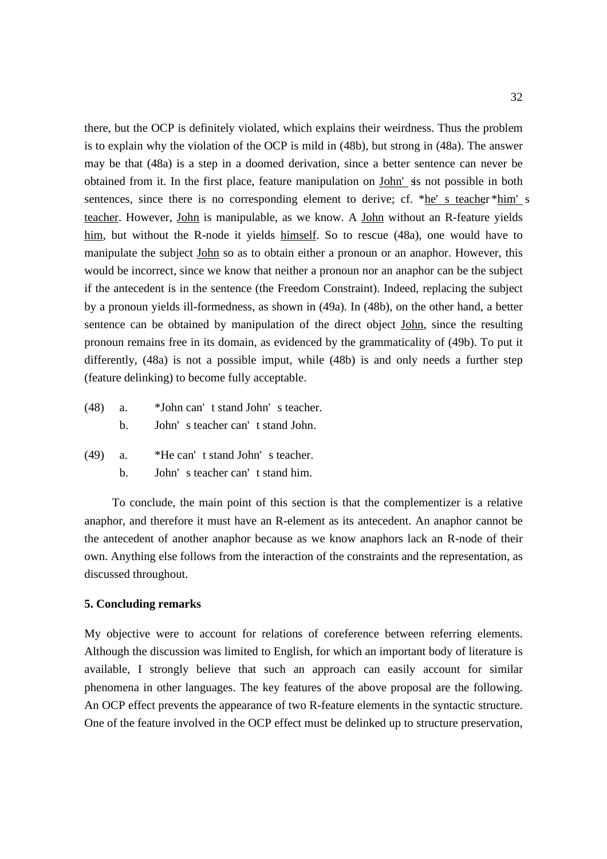there, but the OCP is definitely violated, which explains their weirdness. Thus the problem is to explain why the violation of the OCP is mild in (48b), but strong in (48a). The answer may be that (48a) is a step in a doomed derivation, since a better sentence can never be obtained from it. In the first place, feature manipulation on John' sis not possible in both sentences, since there is no corresponding element to derive; cf. \*he' s teacher \*him' s teacher. However, John is manipulable, as we know. A John without an R-feature yields him, but without the R-node it yields himself. So to rescue (48a), one would have to manipulate the subject John so as to obtain either a pronoun or an anaphor. However, this would be incorrect, since we know that neither a pronoun nor an anaphor can be the subject if the antecedent is in the sentence (the Freedom Constraint). Indeed, replacing the subject by a pronoun yields ill-formedness, as shown in (49a). In (48b), on the other hand, a better sentence can be obtained by manipulation of the direct object John, since the resulting pronoun remains free in its domain, as evidenced by the grammaticality of (49b). To put it differently, (48a) is not a possible imput, while (48b) is and only needs a further step (feature delinking) to become fully acceptable.

- (48) a. \*John can' t stand John' s teacher. b. John' s teacher can' t stand John.
- (49) a. \*He can' t stand John' s teacher.
	- b. John' s teacher can' t stand him.

To conclude, the main point of this section is that the complementizer is a relative anaphor, and therefore it must have an R-element as its antecedent. An anaphor cannot be the antecedent of another anaphor because as we know anaphors lack an R-node of their own. Anything else follows from the interaction of the constraints and the representation, as discussed throughout.

## **5. Concluding remarks**

My objective were to account for relations of coreference between referring elements. Although the discussion was limited to English, for which an important body of literature is available, I strongly believe that such an approach can easily account for similar phenomena in other languages. The key features of the above proposal are the following. An OCP effect prevents the appearance of two R-feature elements in the syntactic structure. One of the feature involved in the OCP effect must be delinked up to structure preservation,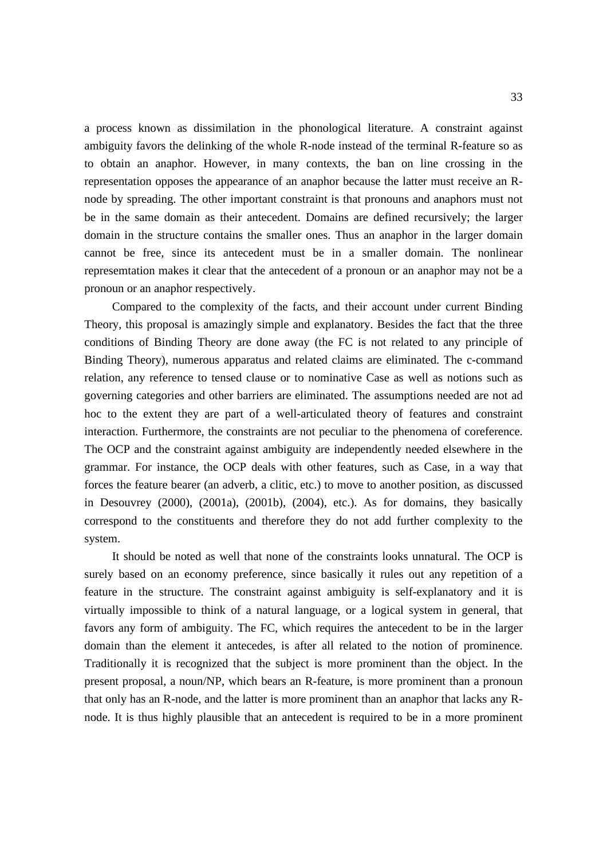a process known as dissimilation in the phonological literature. A constraint against ambiguity favors the delinking of the whole R-node instead of the terminal R-feature so as to obtain an anaphor. However, in many contexts, the ban on line crossing in the representation opposes the appearance of an anaphor because the latter must receive an Rnode by spreading. The other important constraint is that pronouns and anaphors must not be in the same domain as their antecedent. Domains are defined recursively; the larger domain in the structure contains the smaller ones. Thus an anaphor in the larger domain cannot be free, since its antecedent must be in a smaller domain. The nonlinear represemtation makes it clear that the antecedent of a pronoun or an anaphor may not be a pronoun or an anaphor respectively.

Compared to the complexity of the facts, and their account under current Binding Theory, this proposal is amazingly simple and explanatory. Besides the fact that the three conditions of Binding Theory are done away (the FC is not related to any principle of Binding Theory), numerous apparatus and related claims are eliminated. The c-command relation, any reference to tensed clause or to nominative Case as well as notions such as governing categories and other barriers are eliminated. The assumptions needed are not ad hoc to the extent they are part of a well-articulated theory of features and constraint interaction. Furthermore, the constraints are not peculiar to the phenomena of coreference. The OCP and the constraint against ambiguity are independently needed elsewhere in the grammar. For instance, the OCP deals with other features, such as Case, in a way that forces the feature bearer (an adverb, a clitic, etc.) to move to another position, as discussed in Desouvrey (2000), (2001a), (2001b), (2004), etc.). As for domains, they basically correspond to the constituents and therefore they do not add further complexity to the system.

It should be noted as well that none of the constraints looks unnatural. The OCP is surely based on an economy preference, since basically it rules out any repetition of a feature in the structure. The constraint against ambiguity is self-explanatory and it is virtually impossible to think of a natural language, or a logical system in general, that favors any form of ambiguity. The FC, which requires the antecedent to be in the larger domain than the element it antecedes, is after all related to the notion of prominence. Traditionally it is recognized that the subject is more prominent than the object. In the present proposal, a noun/NP, which bears an R-feature, is more prominent than a pronoun that only has an R-node, and the latter is more prominent than an anaphor that lacks any Rnode. It is thus highly plausible that an antecedent is required to be in a more prominent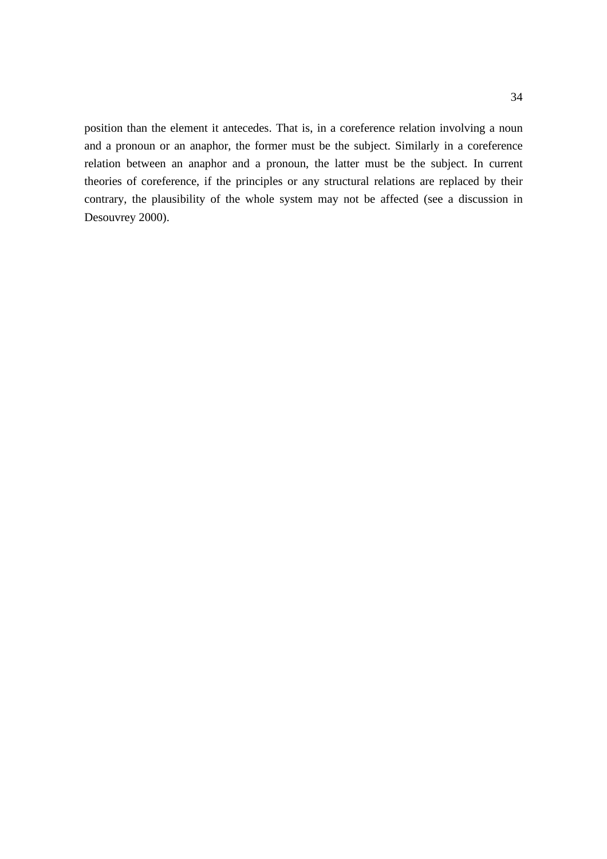position than the element it antecedes. That is, in a coreference relation involving a noun and a pronoun or an anaphor, the former must be the subject. Similarly in a coreference relation between an anaphor and a pronoun, the latter must be the subject. In current theories of coreference, if the principles or any structural relations are replaced by their contrary, the plausibility of the whole system may not be affected (see a discussion in Desouvrey 2000).